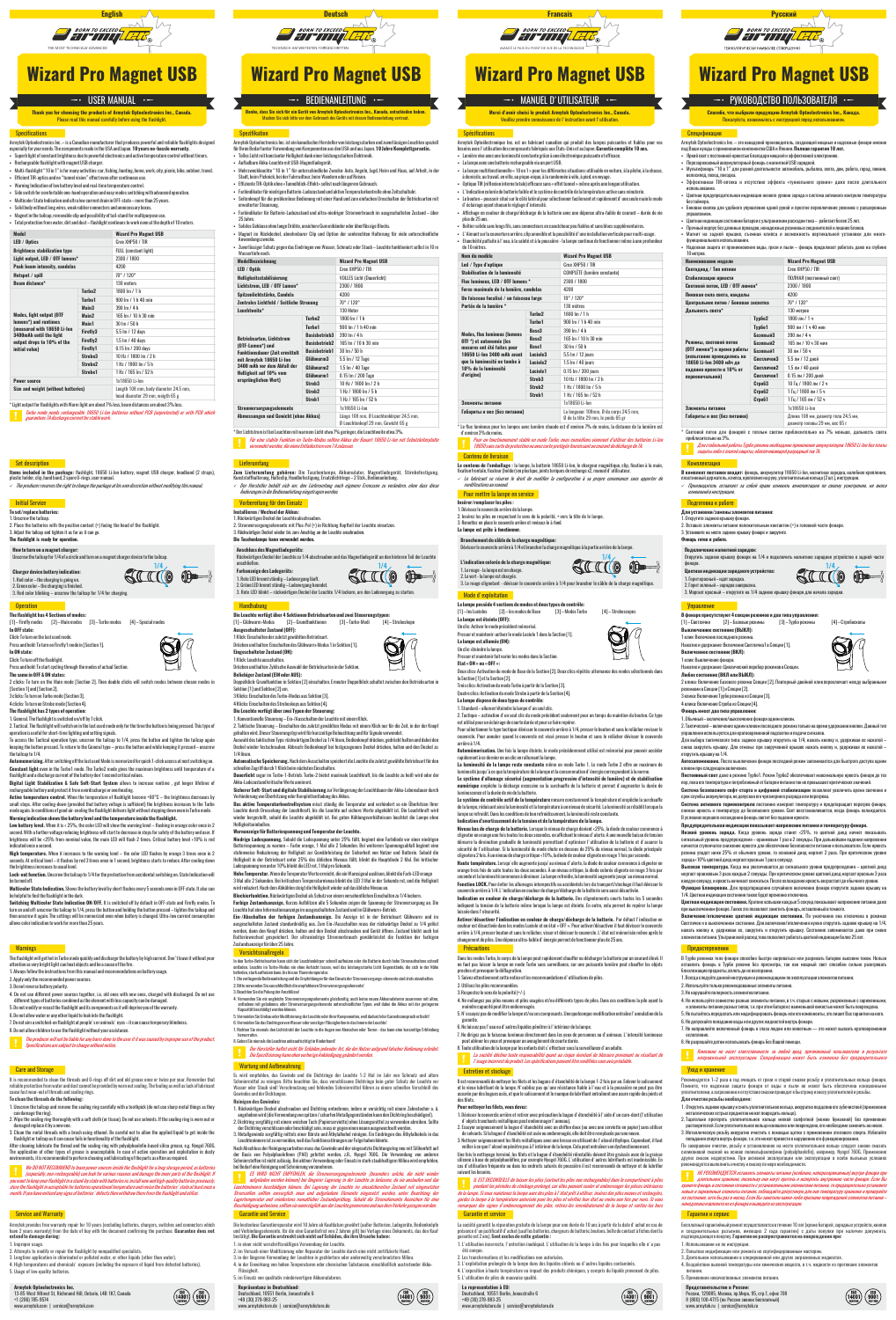**Выключенное состояние (ВЫКЛ):** 1 клик: Включение последнего режима.<br>Нажатие и улержание: Включение Светлячка 1 в Секции Г 11.

Нажатие и удержание: Циклический перебор режимов в Секции.<br>Любое состояние (ВКЛ или ВЫКЛ):

3 клика: Включение Турбо режима из Секции [3]. 4 клика: Включение Строба из Секции [4]. **Фонарь имеет два типа управлен** 

нажатие и удержание: Включ **Включенное состояние (ВКЛ):**<br>1 клик: Выключение фонаря.

кликом при следующем включении. **Постоянный свет** даже в режиме Турбо1. Режим Турбо2 обеспечивает максимальную яркость фонаря до тех пор, пока его температура и потребляемый от батареи питания ток не превышают критических значений. **Система безопасного софт-старта и цифровой стабилизации** позволяют увеличить время свечения и срок службы аккумулятора, не допуская его чрезмерного разряда или перегрева.<br>Смстема активного термоконтроля постоянно измеряет температуру и предотвращает перегрев фонаря,<br>снижая яркость и температуру до безопасного уров В условиях хорошего охлаждения фонарь светит без падения яркости. **Предупредительная индикация показывает напряжение питания и температуру фонаря. Низкий уровень заряда.** Когда уровень заряда станет <25%, то цветной диод начнет показывать сигнальный уровень предупреждения – оранжевым 1 раз в 2 секунды. При дальнейшем падении напряжения начнется ступенчатое снижение яркости для обеспечения безопасности питания и пользователя. Если яркость режима упадет ниже 25% от обычного уровня, то основной диод моргнет 2 раза. При критическом уровне<br>заряда<10% цветной диод моргает красным 1 раз в секунду.

заряда < 10% цветной диод моргает красным 1 раз в секунду.<br>Высежая температура. Когда она увеличивается до сигнального уровня предупреждения — цветной диод<br>моргает оранжевым 3 раза каждые 2 секунды. При критическом уровне

1. Обычный – включение/выключение фонаря одним кликом.

2. Тактический – включение одним кликом последнего режима только на время удержания кнопки. Данный тип

управления используется для кратковременной подсветки и подачи сигналов.

Для выбора тактического типа: заднюю крышку открутить на 1/4, нажать кнопку и, удерживая ее нажатой – снова закрутить крышку. Для отмены: при закрученной крышке нажать кнопку и, удерживая ее нажатой –

открутить крышку на 1/4.

Для установки/замены алементов питания:<br>1. Открупите задною крышку фонара.<br>2. Вставьте задною крышку фонара.<br>3. Установте на место задною крышку фонара и закрупите.<br>Фонарь готов к работе.<br>Фонарь готов к работе.

**Включение/отключение цветной индикации состояния.** По умолчанию она отключена в режимах Светлячок и в выключенном состоянии. Для включения/отключения нужно открутить заднюю крышку на 1/4, нажать кнопку и, удерживая ее, закрутить и открутить крышку. Состояние запоминается даже при смене<br>элементовпитания. Ультранизкий расход тока позволяет работать цветной индикации более 25 лет.

В Турбо режимах тело фонаря способно быстро нагреваться или разряжать батарею высоким током. Нельзя<br>оставлять фонарь в Турбо режиме без присмотра, так как мощный свет способен сильно разогревать<br>близлежащиепредметы,вплоть 5лизлежащие предметы, вплоть до их возгорания.<br>1. Всегда следуйте данной инструкции и рекомендациям по эксплуатации элементов питания

.<br>Автония фонаря последний режим запоминается для быстрого доступа од

**Цветная индикация состояния.** Краткие вспышки каждые 5 секунд показывают напряжение питания даже при выключенном фонаре. Также это позволяет заметить фонарь, оставленный в темноте.

7. Не направляйте включенный фонарь в глаза людям или животным — это может вызвать кратков ослепление.



10 метров.<br>Наименование молели **Наименование модели Wizard Pro Magnet USB Светодиод / Тип оптики** Cree XHP50 / TI

- Для очистки резьбы необходимо:<br>1. Открутить заднюю крышку и снять уплотнительное кольцо,<br>— металлических острых предметов может повредить кольцо).
- 2. Тщательно протереть уплотнительное кольцо мягкой салфеткой (можно бумажной) без применения растворителей. Если уплотнительное кольцо изношено или повреждено, его необходимо заменить на новое. 3. Металлическую резьбу аккуратно очистить с помощью щетки с применением этилового спирта. Избегайте попадания спирта внутрь фонаря, т.к. это может привести к нарушению его функционирования.

По завершении очистки, резьбу и установленное на место уплотнительное кольцо следует заново смазать<br>силиконовой смазкой на основе полиальфаловфина [golyalphaolefin], например, Nyogel 760G. Применение<br>других смазок недопус

.<br>*НЕ РЕКОМНУЕТСЯ оставлять элементы в назначения (особенно, неперезаряжаемые) внутри фонаря при*<br>Длительном таквини пасканик они инст ----<mark>на —</mark> длительном хранении, поскольку они могут протечь и испортить внутренние части фонаря. Если Вы<br>храните фонарь в остоянни готовности с установленными элюментами итания, то продварительно установите э<br>изовье и заряжен

| Стабилизация яркости                                  |                    | ПОЛНАЯ (постоянный свет)                                                                |
|-------------------------------------------------------|--------------------|-----------------------------------------------------------------------------------------|
| Световой поток. LED / ОТГ люмен*                      |                    | 2300 / 1800                                                                             |
| Пиковая сила света, канделы                           |                    | 4200                                                                                    |
| Центральное пятно / Боковая засветка                  |                    | 70°/120°                                                                                |
| Дальность света*                                      |                    | 130 метров                                                                              |
| Режимы, световой поток<br>(OTF люмен*) и время работы | Турбо2             | 1800 лм / 1 ч                                                                           |
|                                                       | Typ6o1             | 900 лм / 1 ч 40 мин                                                                     |
|                                                       | Базовый3           | 390 лм / 4 ч                                                                            |
|                                                       | Базовый2           | 165 лм / 10 ч 30 мин                                                                    |
|                                                       | Базовый1           | 30 лм / 50 ч                                                                            |
| (испытания проводились на<br>18650 Li-Ion 3400 мАч до | Светлячок3         | 5.5 лм / 12 дней                                                                        |
| падения яркости к 10% от<br>первоначальной)           | Светлячок2         | 1.5 лм / 40 дней                                                                        |
|                                                       | Светлячок1         | 0.15 лм / 200 дней                                                                      |
|                                                       | СтробЗ             | 10 Гц / 1800 лм / 2 ч                                                                   |
|                                                       | CTD <sub>062</sub> | 1 Гц / 1800 лм / 5 ч                                                                    |
|                                                       | CTD <sub>061</sub> | 1 Гц / 165 лм / 52 ч                                                                    |
| Злементы питания                                      |                    | 1x18650 Li-Ion                                                                          |
| Габариты и вес (без питания)                          |                    | Длина 108 мм, диаметр тела 24.5 мм,<br>диаметр головы 29 мм, вес 65 г                   |
|                                                       |                    | Световой поток для фонарей с теплым светом приблизительно на 7% меньше, дальность света |

**The flashlight has 4 Sections of modes:**<br>[1] – Firefly modes [2] – Main modes [3] – Turbo modes [4] – Special modes **In OFF state:**

2 clicks: To turn on the Main mode [Section 2]. Then double clicks will switch modes between chosen modes in the Main mode [Section 2]. Then double clicks will switch modes between cho [Section 1] and [Section 2]. 3 clicks: To turn on Turbo mode [Section 3].

 $\preccurlyeq$  приблизительно на 3%. *Для стабильной работы Турбо режима необходимо применение аккумуляторов 18650 Li-Ion без платы защиты либо с платой защиты, обеспечивающей разрядный ток 7А.*

**.<br><b>Automemorizing.** After switching off the last used Mode is memorized for quick 1-click access at next switching **Constant light** even in the Turbo1 mode. The Turbo2 mode gives the maximum brightness until temperature of a

flashlight and a discharge current of the battery don't exceed critical values.<br>Digital Light Stabilization & Safe Soft-Start System allows to increase runtime , get longer lifetime of

Digital Light Stabilization & Safe Soft-Start System allows to increase runtime , get longer lifetime of<br>rechargeable battery and protect it from overdischarge or owrheating.<br>Active temperature control. When the temperatur

# Подготовка к работе

Low battery level. When it is < 25%, the color LED will show the warning level - flashing in orange color once in 2 second. With a further voltage reducing brightness will start to decrease in steps for safety of the battery and user. If<br>brightness will be <25% from nominal value, the main LED will flash 2 times. Critical battery level indicated once a second.

**Подключение магнитной зарядки:**

1. Горит красный – идет зарядка.<br>2. Горит зеленый – зарядка завершена.<br>3. Моргает красный – открутите на 1/4 заднюю крышку фонаря для начала зарядки.

открутить темперационного зарядня.<br>Открутить заднюю крышку фонаря на 1/4 и полключить магнитное запялное устройство к задной

10

 $\oplus$ 

 $\mathbf{S}^{\mathbf{L}}$ 

 $\boxtimes$ 

**В фонаре присутствуют 4 секции режимов и два типа управления:**<br>[1] – Светлячки [2] – Базовые режимы [3] – Турбо режимы [4] – Стробоскопы

**Любое состояние (ВКЛ или ВЫКЛ):**<br>2 клика: Включение Базового режима Секции [2]. Повторный двойной клик переключает между выбранными<br>режимами в Секции [1] и Секции [2].

фонаря.

 $\frac{1}{2}$ 

 $\mathbb{S\!}^{\ell}$ 

<mark>— Комплектация</mark><br>**В комплект поставки входя**т: фонарь, аккумулятор 18650 Li-lon, магнитная зарядка, налобное крепление,<br>пластковый держатель, клипса, крепление на руку, уплотнительные кольца (2 шт.), инструкция.<br>- / *Прои* <sub>измен</sub>ений в применении в дуку, ушей.<br>*Производитель оставляет за собой право изме*<br>изменений в инструкцию.

**Цветная индикация зарядного устройства:**

Управление

Предостережения

Рекомендуется 1–2 раза в год очищать от грязи и старой смазки резьбу и уплотнительные кольца фонаря.<br>Помните, что надежная защита фонаря от воды и пыли не может былъ обеспечена изновием.<br>уплотнителями,азагрязнения иотсутс

turn on and off: unscrew the tailcap to 1/4, press the button and holding the button pressed – tighten the tailcap and<br>then unscrew it again. The settings will be memorized even when battery is changed. Ultra-low current c allows color indication to work for more than 25 years.

#### **Warnings**

2. Используйте только рекомендованные элементы питания.

Компания не несет ответственности за любой вред, причиненный пользователю в результате<br>неправильной эксплуатации. Спецификация может быть изменена без предварительного

3. Не нарушайте полярность элементов питания. 4. Не используйте совместно разные элементы питания, в т.ч. старые с новыми, разряженные с заряженными, и элементы питания разных типов, т.к. при этом батарея с наименьшей емкостью может быть повреждена.

5. Не пытайтесь переделать или модифицировать фонарь или его компоненты, это лишит Вас гарантии на него. 6. Не допускайте попадания воды или других жидкостей внутрь фонаря.

8. Не разрешайте детям использовать фонарь без Вашей помощи.

# Уход и хранение

**Items included in the package:** flashlight, 18650 Li-Ion battery, magnet USB charger, headband (2 straps),<br>plasticholder,clip,handband,2spare O-rings,user manual. ь *The producer reserves the right to change the package at his own discretion without modifying this manual.*

### **Initial Service**

3. Red color blinking – unscrew the tailcap for 1/4 for charging. **Operation** 

The flashlight will get hot in Turbo mode quickly and discharge the battery by high current. Don' t leave it without your<br>attention as very bright light can heat objects and be a cause of the fire. 1. Always follow the instructions from this manual and recommendations on battery usage.

- 4. Do not use different power sources together, i.e. old ones with new ones, charged with discharged. Do not use<br>different types of batteries combined as the element with less capacity can be damaged. 5. Do not modify or recast the flashlight and its components as it will deprive you of the warranty.
- 6. Do not allow water or any other liquid to leak into the flashlight.
- 7. Do not aim a switched-on flashlight at people's or animals' eyes it can cause temporary blindness. 8. Do not allow children to use the flashlight without your assistance.
- *The producer will not be liable for any harm done to the user if it was caused by improper use of the product. Specifications are subject to change without notice.*

#### **Care and Storage**

It is recommended to clean the threads and O-rings off dirt and old grease once or twice per year. Remember that<br>reliable protection from water and dust cannot be provided by worn out sealing. The fouling as well as lack o cause fast wear-out of threads and sealing rings.

#### Гарантия и сервис

Бесплатный гарантийный ремонт осуществляется в течение 10 лет (кроме батарей, зарядных устройств, кнопок<br>и соединительных разъемов, имеющих 2 года гарантии) с даты покупки при наличии документа,<br>подтвер

- 1. Использовании не по инструкции.
- 2. Попытках модификации или ремонта не сертифицированным мастером.
- 
- 3. Длительном использовании в хлорированной или других загрязненных жидкостях. 4. Воздействии высокой температуры или химических веществ, в т.ч. жидкости из протекших элементов
- питания. 5. Применении некачественных элементов питания.

 $\begin{pmatrix} 150 \\ 14001 \end{pmatrix} \begin{pmatrix} 150 \\ 9001 \end{pmatrix}$ 

**Представительство в России:**<br>Россия, 129085, Москва, пр.Мира, 95, стр.1, офис 708<br>8 (800) 100-4715 (по России звонок бесплатный)<br>www.armytek.ru | service@armytek.ru



 $\begin{pmatrix} 150 \\ 14001 \end{pmatrix} \begin{pmatrix} 150 \\ 9001 \end{pmatrix}$ 

- Armytek provides free warranty repair for 10 years (excluding batteries, chargers, switches and connectors which<br>have 2 years warranty) from the date of buy with the document confirming the purchase. **Guarantee does not**<br>
- 1. Improper usage.
- 2. Attempts to modify or repair the flashlight by nonqualified specialists.
- 3. Longtime application in chlorinated or polluted water, or other liquids (other than water). 4. High temperatures and chemicals' exposure (including the exposure of liquid from defected batteries). 5. Usage of low-quality batteries.

**Armytek Optoelectronics Inc.**<br>13-85 West Wilmot St, Richmond Hill, Ontario, L4B 1K7, Canada<br>+1 (206) 785-9574<br>www.armytek.com | service@armytek.com



Click: To turn off the flashlight. Press and hold: To start cycling through the modes of actual Section.

**The same in OFF & ON states:**

**Automatische Speicherung.** Nach dem Ausschalten speichert die Leuchte die zuletzt gewählte Betriebsart für den<br>schnellen Zugriff durch 1 Klick beim nächsten Einschalten. **Dauerlicht** sogar im Turbo-1-Betrieb. Turbo-2 bietet maximale Leuchtkraft, bis die Leuchte zu heiß wird oder der

4 clicks: To turn on Strobe mode [Section 4].

**The flashlight has 2 types of operation:** 1. General. The flashlight is switched on/off by 1 click.

2. Tactical. The flashlight will switch on in the last used mode only for the time the button is being pressed. This type of operation is useful for short-time lighting and setting signals. To access the Tactical operation type, unscrew the tailcap to 1/4, press the button and tighten the tailcap again

keeping the button pressed. To return to the General type – press the button and while keeping it pressed – unscrew the tailcap to 1/4.

Machen Sie sich bitte vor dem Gebrauch des Geräts mit dessen Bedienanleitung vertraut.  $\overline{\phantom{a}}$  - Bedienanleitung  $\overline{\phantom{a}}$ 

Armytek Optoelectronics Inc. ist ein kanadischer Hersteller von leistungsstarken und zuverlässigen Leuchten speziell<br>für Ihren Bedarf unter Verwendung von Komponenten aus den USA und aus Japan. **10 Jahre Komplettgarantie.** 

g in teht bevarit unter verwendung von Komponomoon das den Sostand dasser personer.<br>Tolles Licht mit konstanter Helligkeit dank einer leistungsstarken Elektronik. § Aufladbare Akku-Leuchte mit USB-Magnetladegerät.

ck, bei der Fahrradtour, beim Wandern oder auf R § Effiziente TIR-Optik ohne «Tunnelblick-Effekt» selbst nach längerem Gebrauch. § Farbindikator für niedrigen Batterie-Ladezustand und aktive Temperaturkontrolle ohne Zeitschaltuhr. § Seitenknopf für die problemlose Bedienung mit einer Hand und zum einfachen Umschalten der Betriebsarten mit erweiterter Steuerung. § Farbindikator für Batterie-Ladezustand und ultra-niedriger Stromverbrauch im ausgeschalteten Zustand – über

**High temperature.** When it increases to the warning level – the color LED flashes by orange 3 times once in 2 seconds. At critical level – it flashes by red 3 times once in 1 second, brightness starts to reduce. After cooling down the brightness increases to usual level. **Lock-out function.** Unscrew the tailcap to 1/4 for the protection from accidental switching on. State Indication will

be turned off.<br>**Multicolor State Indication.** Shows the battery level by short flashes every 5 seconds even in OFF state. It also can

**Turbo2** 1800 lm / 1 h **Turbo1** 900 lm / 1 h 40 min **Basisbetrieb3** 390 lm / 4 h **Basisbetrieb2** 165 lm / 10 h 30 m<br>**Basisbetrieb1** 30 lm / 50 h **Basisbetrieb1** 30 lm / 50 h **Glühwurm3** 5.5 lm / 12 Tage **Glühwurm2** 1.5 lm / 40 Tage **Glühwurm1** 0.15 lm / 200 Tage<br>**Strob3** 10 Hz / 1800 lm / **Strob3** 10 Hz / 1800 lm / 2 h<br>**Strob2** 1 Hz / 1800 lm / 5 h **Strob2** 1 Hz / 1800 lm / 5 h **Strob1** 1 Hz / 165 lm / 52 h<br>1 x 18650 Li-lon

be helpful to find the flashlight in the dark. **Switching Multicolor State Indication ON/OFF.** It is switched off by default in OFF-state and Firefly modes. To

anschließer **Farbanzeige des Ladegeräts:**

**Thank you for choosing the products of Armytek Optoelectronics Inc., Canada.** Please read this manual carefully before using the flashlight.

#### **Specifications**

- Armytek Optoelectronics Inc. is a Canadian manufacturer that produces powerful and reliable flashlights designed<br>especially for your needs. The components made in the USA and Japan. **10 years no-hassle warranty.**
- Superb light of constant brightness due to powerful electronics and active temperature control without timers.<br>• Rechargeable flashlight with magnet USB charger.
- § Multi-flashlight "10 in 1" is for many activities: car, fishing, hunting, home, work, city, picnic, bike, outdoor, travel.
- § Efficient TIR-optics and no "tunnel vision" effect even after continuous use.
- 
- Warning Indication of low battery level and real-time temperature control.<br>• Side switch for comfortable one-hand operation and easy modes switching with advanced operation.<br>• Multicolor State Indication and ult
- § Solid body without long wires, weak rubber connectors and unnecessary boxes.
- Magnet in the tailcap, removable clip and possibility of tail-stand for multipurpose use.<br>• Total protection from water, dirt and dust flashlight continues to work even at the depth of 10 meters.
- 

# **Wizard Pro Magnet USB**

# $\overline{\phantom{a}}$  - USER MANUAL  $\overline{\phantom{a}}$

3. Metallgewinde sorgfältig mittels einer Bürste und Äthylalkohol reinigen. Ein Eindringen des Äthylalkohols in das zu vermeiden, weil das Funktionsstörungen zur Folge hal

Nach Abschluss der Reinigungsarbeiten muss das Gewinde und der eingesetzte Dichtungsring neu mit Silikonfett auf<br>der Basis von Polyalphaolefinen (PAO) gefettet werden, z.B., Nyogel 760G. Die Verwendung von an oer isasis von Polyalphaolefinen (PAO) gefettet werden, z.B., Nyogel 760G. Die Verwendung von anderen<br>Schmierstoffen ist nicht zulässig. Bei aktiver Verwendung oder Einsatz in stark staubhaltigem Milieu wird empfohlen<br>bei

bei Bedarf eine Reinigung und Schmierung vorzunehmen. *ES WIRD NICHT EMPFOHLEN, die Stromversorgungselemente (besonders solche, die nicht wieder*  aufgeladen werden können) bei längerer Lagerung in der Leuchte zu belassen, da sie ausla Leuchteninnere beschädigen können. Bei Lagerung der Leuchte im einsatzbereiten Zustand mit eingesetzten<br>Stromzellen sollten versorgieh neue und aufgeladene Elemente eingesetzt werden, unter Beachtung der<br>Lagertenoperatur u

| <b>Model</b>                                           |                    | <b>Wizard Pro Magnet USB</b>                                              |
|--------------------------------------------------------|--------------------|---------------------------------------------------------------------------|
| LED / Optics                                           |                    | Cree XHP50 / TIR                                                          |
| <b>Brightness stabilization type</b>                   |                    | <b>FULL</b> (constant light)                                              |
| Light output, LED / OTF lumens*                        |                    | 2300 / 1800                                                               |
| Peak beam intensity, candelas                          |                    | 4200                                                                      |
| Hotspot / spill                                        |                    | 70° / 120°                                                                |
| <b>Beam distance*</b>                                  |                    | 130 meters                                                                |
|                                                        | Turho <sub>2</sub> | $1800 \ln / 1 h$                                                          |
|                                                        | Turho1             | 900 lm / 1 h 40 min                                                       |
|                                                        | Main3              | 390 lm / 4 h                                                              |
| <b>Modes, light output (OTF</b>                        | Main <sub>2</sub>  | 165 lm / 10 h 30 min                                                      |
| lumens*) and runtimes                                  | Main1              | $30 \ln 750 h$                                                            |
| (measured with 18650 Li-lon<br>3400mAh until the light | Firefly3           | 5.5 lm / 12 days                                                          |
| output drops to 10% of the                             | Firefly2           | 1.5 lm / 40 days                                                          |
| initial value)                                         | Firefly1           | 0.15 lm / 200 days                                                        |
|                                                        | Strobe3            | 10 Hz / 1800 lm / 2 h                                                     |
|                                                        | Strohe?            | 1 Hz / 1800 lm / 5 h                                                      |
|                                                        | Strohe1            | 1 Hz / 165 lm / 52 h                                                      |
| <b>Power source</b>                                    |                    | 1x18650 Li-Inn                                                            |
| Size and weight (without batteries)                    |                    | Length 108 mm, body diameter 24.5 mm,<br>head diameter 29 mm, weigth 65 g |

" Light output for flashlights with Warm light are about 7% less, beam distances are about 3% less.<br>In the mode meets rechargeable 18650 Li-lon batteries without PCB (unprotected) or with PCB which<br>guarantees 7A discharge

## **Set description**

- § La lampe avec une batterie rechargeable via un port USB. § La lampe multifonctionnelle « 10 en 1 » pour les différentes situations: utilisable en voiture, à la pêche, à la chasse, à domicile, au travail, en ville, au pique-nique, à la randonnée à vélo, à pied, en voyage.
- § Optique TIR (réflexion interne totale) efficace sans « effet tunnel » même après une longue utilisation.
- § L'Indication colorée de batterie faible et le système de contrôle de la température active sans minuterie.
- Le bouton poussoir situé sur le côté latéral pour sélectionner facilement et rapidement d'une seule main le mode<br>• d'éclairage ayant chacun le régisge d'intensité.<br>• Affichage en couleur de charge/décharge de la b plus de 25 ans.
- § Boîtier solide sans longs fils, sans connecteurs en caoutchouc peu fiables et sans blocs supplémentaires.
- L'Aimant sur la couverture arrière, clip amovible et la possibilité d'une installation verticale pour multi-usage.<br>• Etanchéité patfaite à l'eau, à la saleté et à la poussière la lampe continue de fonctionner même à un

### **To set/replace batteries:**

1. Unscrew the tailcap.<br>2. Place the batteries with the positive contact (+) facing the head of the flashlight.<br>3. Adjust the tailcap and tighten it as far as it can go.<br>**The flashlight is ready for operation.** 

#### **How to turn on a magnet charger:**

Unscrew the tailcap for 1/4 of a circle and turn on a magnet charger device to the tailcap. 1/4

#### **Charger device battery indication:**  $\circledR$ 1. Red color – the charging is going on. 2. Green color – the charging is finished.

2. Apply only the recommended power sources.

3. Do not reverse battery polarity.

#### **To clean the threads do the following:**

rapidement à ce dernier en un clic en rallumant la lampe.<br>La luminosité de la lampe reste constante même en mode Turbo 1. Le mode Turbo 2 offre un maximum de<br>luminosité jusqu'à ce que la température de la lampe et la conso **Le système d'allumage sécurisé (augmentation progressive d'intensité de lumière) et de stabilisation numérique** empêche la décharge excessive ou la surchauffe de la batterie et permet d'augmenter la durée de luminescence et la durée de vie de la batterie.

- 1. Unscrew the tailcap and remove the sealing ring carefully with a toothpick (do not use sharp metal things as they
- can damage the ring). 2. Wipe the sealing ring thoroughly with a soft cloth (or tissue). Do not use solvents. If the sealing ring is worn out or damaged replace it by a new one.
- 3. Clean the metal threads with a brush using ethanol. Be careful not to allow the applied liquid to get inside the<br>flashlight or tailcap as it can cause fails in functionality of the flashlight.
- After cleaning lubricate the thread and the sealing ring with polyalphaolefin-based silica grease, e.g. Nyogel 760G. The application of other types of grease is unacceptable. In case of active operation and exploitation in dusty environments, it is recommended to perform cleaning and lubricating of the parts as often as required.

We DONOT RECOMMEND to heave power startess inside the flashlight for a long-storage period, as batteries (especially, non-rechargeable) can leak for various research and damage the inner parts of the flashlight in the stat

#### **Service and Warranty**

**Le système de contrôle actif de la température** mesure constamment la température et empêche la surchauffe<br>de la lampe, réduisant ainsi la luminosité et la température à un niveau de sécurité. La luminosité se rétablit lo lampe se refroidit. Dans les conditions de bon refroidissement, la luminosité reste constante. **Indication d'avertissement de la tension et de la température de la lampe.**

**Niveau bas de charge de la batterie.**Lorsque le niveau de charge devient <25%, la diode de couleur commence à clignoter en orange une fois toutes les deux secondes. en affichant le niveau d'alerte. A une nouvelle baisse de tension démarre la diminution graduelle de luminosité permettant d'optimiser l'utilisation de la batterie et d'assurer la<br>sécurité de l'utilisateur. Si la luminosité du mode chute en dessous de 25% du niveau normal, la diode princ clignotera 2 fois. À un niveau de charge critique <10%, la diode de couleur clignote en rouge 1 fois par seconde. **Haute température.** Lorsqu'elle augmente jusqu'au niveau d'alerte, la diode de couleur commence à clignoter en<br>orange trois fois de suite toutes les deux secondes. À un niveau critique, la diode colorée clignote en rouge

seconde et la luminostié commence à diminuer. La lampe refroidie, la luminostié augmente jusqu' au niveau normal.<br>**Fonction 10CK. P**our éviter les allumages intempestifs ou accidentels lors du transport/stockage il fadi dé

Dans les modes Turbo, le corps de la lampe peut rapidement chauffer ou décharger la batterie par un courant élevé. Il<br>ne faut pas laisser la lampe en mode Turbo sans surveillance, car une puissante lumière peut chauffer le 1. Suivez attentivement cette notice et les recommandations d'utilisations de piles.



**Die Leuchte verfügt über 4 Sektionen Betriebsarten und zwei Steuerungstypen:** [1] – Glühwurm-Modus [2] – Grundfunktionen [3] – Turbo-Modi [4] – Stroboskope **Ausgeschalteter Zustand (OFF):**

1. Rote LED brennt ständig – Ladevorgang läuft.<br>2. Grüne LED brennt ständig – Ladevorgang beendet.<br>3. Rote LED blinkt – rückwärtigen Deckel der Leuchte 1/4 lockern, um den Ladevorgang zu starten.

Installieren / Wechsel der Akkus:<br>1. Rückwärtigen Deckel der Leuchte abschrauben.<br>2. Stromversorgungselemente mit Plus-Pol (\*) in Richtung Kopfteil der Leuchte einsetzen.<br>3. Rückwärtigen Deckel wieder bis zum Anschlag an d

B**eliebiger Zustand (EIN oder AUS):**<br>Doppelklick: Grundfunktion in Sektion [2] einschalten. Erneuter Doppelklick schaltet zwischen den Betriebsarten in<br>Sektion [1] und Sektion [2] um.<br>3 Klicks: Einschalten des Turbo-Modus

1 Klick: Einschalten der zuletzt gewählten Betriebsart. Drücken und halten: Einschalten des Glühwurm-Modus 1 in Sektion [1].

**Eingeschalteter Zustand (ON):** 1 Klick: Leuchte ausschalten.

**Spezifikation** 

4 Klicks: Einschalten des Stroboskops aus Sektion [4].

**Die Leuchte verfügt über zwei Typen der Steuerung:** 1. Konventionelle Steuerung – Ein-/Ausschalten der Leuchte mit einem Klick.

ung von Überhitzung oder Komplettentladung des Akkus

------------<br>eige für Batteriespannung und Temperatur der Leuchte.

suivant les besoins. *IL EST DECONSEILLE de laisser les piles (surtout les piles non rechargeables) dans le compartiment à piles*  pendant les périodes de stockage prolongé, car elles peuvent couler et endommager les pièces intérieures<br>de la lampe. Si vous maintenez la lampe avec des piles à l'état prêt à utiliser, insérez des piles neuves et rechargé

2. Taktische Steuerung – Einschalten des zuletzt gewählten Modus mit einem Klick nur für die Zeit, in der der Knopf gehalten wird. Dieser Steuerungstyp wird für kurzzeitige Beleuchtung und für Signale verwendet.

Auswahl des taktischen Typs: rückwärtigen Deckel zu 1/4 lösen, Bedienknopf drücken, gedrückt halten und dabei den<br>Deckel wieder festschrauben. Abbruch: Bedienknopf bei festgezogenem Deckel drücken, halten und den Deckel zu

1/4 lösen.

Akku-Ladezustand kritische Werte annimmt.

Leuchte durch Drossening der Leuchtkraft, b<br>wieder hergestellt, sobald die Leuchte abgel<br>Helligkeitseinbußen.

Drücken und halten: Zyklische Auswahl der Betriebsarten in der Sektion.<br>Beliebiger Zustand (EIN oder AUS):

**English Deutsch Francais Русский BORN TO EXCEED THE BOOT** AVANCÉ LE PLUS DU POINT DE VUE DE LA TECHNOLOGIE

**Sicherer Soft-Start und digitale Stabilisierung** zur Verlängerung der Leuchtdauer der Akku-Lebensdauer durch

**Das aktive Temperaturkontrollsystem** misst ständig die Temperatur und verhindert so ein Uberhitzen Ihrer<br>Leuchte durch Drosselung der Leuchtkraft, bis die Leuchte auf sichere Werte abgekühlt ist. Die Leuchtkraft wird<br>wied

**Niedrige Ladespannung.** Sobald die Ladespannung unter 25% fällt, beginnt eine Farbdiode vor einer niedrigen<br>Batteriespannung zu warnen – Farbe orange, 1 Mal alle 2 Sekunden. Bei weiterem Spannungsabfall beginnt eine stufenweise Reduzierung der Helligkeit zur Gewährleistung der Sicherheit von Nutzer und Batterie. Sobald die Helligkeit in der Betriebsart unter 25% des üblichen Niveaus fällt, blinkt die Hauptdiode 2 Mal. Bei kritischer Ladespannung von unter 10% blinkt die LED rot, 1 Mal pro Sekunde.<br>**Hohe Temperatu**r. Wenn die Temperatur Werte erreicht, die ein Warnsignal auslösen, blinkt die Farb-LED orange<br>3 Ma**l**a alle 2 Sekunden. Bei kritischem Temp **Blockierfunktion.** Rückwärtigen Deckel als Schutz vor einem versehentlichen Einschalten zu 1/4 lockern. **Farbige Zustandsanzeige.** Kurzes Aufblitzen alle 5 Sekunden zeigen die Spannung der Stromversorgung an. Die<br>Leuchte hat eine Informationsanzeige im ausgeschalteten Zustand und im Glühwurm-Betrieb. Leuchte hat eine Informationsanzeige im ausgeschalteten Zustand und im Gülbnwurm-Beriteib.<br>Ein-/Abschalten der farbigen Zustandsanzeige. Die Anzeige ist in der Betriebsart Glühwurm und im<br>werden, dann den Knopf drücken, ha

**Wizard Pro Magnet USB**

**BORN TO EXCEED THE BOOT PARTY** 

§ Mehrzweckleuchte "10 in 1" für unterschiedliche Zwecke: Auto, Angeln, Jagd, Heim und Haus, auf Arbeit, in der

25 Jahre.

§ Solides Gehäuse ohne lange Drähte, unsichere Gummibänder oder überflüssige Blocks. § Magnet im Rückdeckel, abnehmbarer Clip und Option der senkrechten Halterung für viele unterschiedliche Anwendungszwecke. § Zuverlässiger Schutz gegen das Eindringen von Wasser, Schmutz oder Staub – Leuchte funktioniert selbst in 10 m

Wassertiefe noch.

**Lichtstrom, LED / OTF Lu** 

Betriebsarten, Lichtstrom<br>(OTF-Lumen\*) und<br>Funktionsdauer (Zeit ermittelt<br>mit Armytek 18650 Li-Ion<br>3400 mAh vor dem Abfall der<br>Helligkeit auf 10% vom

Stromversorgungselemente<br>Abmessungen und Gewicht (ohne Akkus)

**Modellbezeichnung Wizard Pro Magnet USB**

**LED / Optik** Cree XHP50 / TIR

**Helligkeitsstabilisierung** VOLLES Licht (Dauerlicht)

**Spitzenlichtstärke, Candela** 4200<br>**Zentrales Lichtfeld / Seitliche Streuung** 70° / 120 **Zentrales Lichtfeld / Seitliche Streuung** 70° / 120° **Leuchtweite\*** 130 Meter<br>
130 Meter<br>
1900 km /

**ursprünglichen Wert)**

**Lieferumfang** 

**Abmessungen und Gewicht (ohne Akkus)** Länge 108 mm, Ø Leuchtenkörper 24,5 mm, Ø Leuchtenkopf 29 mm, Gewicht 65 g \* Der Lichtstrom ist bei Leuchten mit warmem Licht etwa 7% geringer, die Leuchtweite etwa 3%.

*Für eine stabile Funktion im Turbo-Modus sollten Akkus der Bauart 18650 Li-Ion mit Schutzleiterplatte verwendet werden, die einen Entladestrom von 7 A zulassen.*

**Zum Lieferumfang gebören:** Die Taschenlampe, Akkumulator, Magnetladegerät, Stirnbefestigung,<br>Kunststoffhaltenung,Halteclip,Handbefestigung,Ersatzdichtringe–2 Stok,Bedienanleitung.<br>« *Der Hensteller behält sich vor, den Li* 

Vorbereitung für den Einsatz

**Anschluss des Magnetladegeräts:**

Rückwärtigen Deckel der Leuchte zu 1/4 abschrauben und das Magnetladegerät an den hinteren Teil der Leuchte

 $\frac{1}{2}$ 

 $\bigotimes$   $\bigcirc$ 

 $\boxtimes$ 

Handhabung

**Danke, dass Sie sich für ein Gerät von Armytek Optoe** 

Vorsichtsmaßregeln

Es wird empfohlen, das Gewinde und die Dichtringe der Leuchte 1-2 Mal im Jahr von Schmutz und altem<br>Schmiermittel zu reinigen. Bitte beachten Sie, dass verschiissene Dichtringe kein guter Schutz der Leuchte vor<br>Wasser oder s und der Dichtungen.



4. Verwenden Sie nie ungleiche Stromversorgungselemente gleichzeitig, auch keine neuen Akkumulatoren zusammen mit alten, entladene mit geladenen, oder Stromversorgungselemente unterschiedlicher Typen, weil dabei die Akkus mit der geringeren Kapazität beschädigt werden können.

In den Turbo-Betriebsarten kann sich der Leuchtenkörper schnell aufheizen oder die Batterie durch hohe Stromaufnahme schnell<br>entladen. Leuchte im Turbo-Modus nie ohne Aufsicht lassen, weil das leistungsstarke Licht Gegenst

- 5. Vermeiden Sie Umbau oder Modifizierung der Leuchte oder ihrer Komponenten, weil dadurch der Garantieanspruch erlischt!
- 6. Vermeiden Sie das Eindringen von Wasser oder sonstiger Hüssigkeiten in das Innere der Leuchte!<br>7. Richten Sie niemals den Lichtstrahl der Leuchte in die Augen von Menschen oder Tieren das kann eine kurzzeitige Erblind hervorrufen.
- 8. Geben Sie niemals die Leuchten unbeaufsichtigt in Kinderhand!
- *Der Hersteller haftet nicht für Schäden jedweder Art, die der Nutzer aufgrund falscher Bedienung erleidet. Die Spezifizierung kann ohne vorherige Ankündigung geändert werden.*

## **Wartung und Aufbewahrung**

www. sammaen. Nivpli urucken,<br>tteriewechsel\_gespeichert.\_Di<br>standsanzeige für über 25 Jahre.

#### **Reinigen des Gewindes:**

1. Rückwärtigen Deckel abschrauben und Dichtring entnehmen, indem er vorsichtig mit einem Zahnstocher o. ä. angehoben wird (die Verwendung von spitzen /scharfen Metallgegenständen kann den Dichtring beschädigen!).

2. Dichtring sorgfältig mit einem weichen Tuch (Papierserviette) ohne Lösungsmittel zu verwenden abreiben. Sollte<br>der Dichtring verschlissen oder beschädigt sein, muss er gegen einen neuen ausgewechselt werden.

#### Garantie und Service

Die kostenlose Garantiereparatur wird 10 Jahre ab Kaufdatum gewährt (außer Batterien, Ladegeräte, Bedienknöpfe<br>und Verbindungselemente, für die eine Garantiefrist von 2 Jahren git) bei Vorlage eines Dokuments, das den Kauf

2. im Versuch einer Modifizierung oder Reparatur der Leuchte durch eine nicht zertifizierte Hand.

- 
- 3. in der längeren Verwendung der Leuchten in gechlortem oder anderweitig verschmutztem Milieu.<br>4. in der Einwirkung von hohen Temperaturen oder chemischen Substanzen, einschließlich austretender Akku-

Flüssigkeit. 5. im Einsatz von qualitativ minderwertigen Akkumulatoren.

**Repräsentanz in Deutschland:**<br>Deutschland, 10551 Berlin, Jonasstraße 6<br>+49 (30) 279-983-25<br>www.armytekstore.de | service@armytekstore.de

 $\begin{pmatrix} 150 \\ 14001 \end{pmatrix} \begin{pmatrix} 150 \\ 9001 \end{pmatrix}$ 

4. Ne mélangez pas piles neuves et piles usagées et/ou différents types de piles. Dans ces conditions la pile a<br>moindre canacité peut être endommagée

TECHNISCH AM WEITESTEN FORTGESCHRITTEN

# **Wizard Pro Magnet USB**

**Merci d'avoir choisi le produit Armytek Optoele** Veuillez prendre connaissance de l'instruction avant l'utilisation.  $\overline{\phantom{a}}$  - MANUEL D'UTILISATEUR  $\overline{\phantom{a}}$ 

### **Spécifications**

Armytek Optoélectronique Inc. est un fabricant canadien qui produit des lampes puissantes et fiables pour vos besoins avec l'utilisation des composants fabriqués aux États-Unis et au Japon. **Garantie complète 10 ans.** § Lumière vive avec une luminosité constante grâce à une électronique puissante et efficace.

| Nom du modèle                                              |                      | <b>Wizard Pro Magnet USB</b>                                                 |
|------------------------------------------------------------|----------------------|------------------------------------------------------------------------------|
| Led / Type d'optique                                       |                      | Cree XHP50 / TIR                                                             |
| Stabilisation de la luminosité                             |                      | <b>COMPLÈTE</b> (lumière constante)                                          |
| Flux lumineux. LED / OTF lumens *                          |                      | 2300 / 1800                                                                  |
| Force maximale de la lumière, candelas                     |                      | 4200                                                                         |
| Un faisceau focalisé / un faisceau large                   |                      | 70°/120°                                                                     |
| Portée de la lumière *                                     |                      | 130 mètres                                                                   |
|                                                            | Turho <sub>2</sub>   | 1800 lm / 1 h                                                                |
|                                                            | Turho1               | 900 lm / 1 h 40 min                                                          |
| <b>Modes, flux lumineux (lumens</b>                        | Base3                | 390 lm / 4 h                                                                 |
| OTF *) et autonomie (les                                   | Base2                | 165 lm / 10 h 30 min                                                         |
| mesures ont été faites pour<br>18650 Li-Ion 3400 mAh avant | Rase1                | $30 \text{ Im } / 50 \text{ h}$                                              |
|                                                            | Luciole3             | 5.5 lm / 12 jours                                                            |
| que la luminosité ne tombe à                               | Luciole <sub>2</sub> | 1.5 lm / 40 iours                                                            |
| 10% de la luminosité<br>d'origine)                         | <b>Luciole1</b>      | 0.15 lm / 200 iours                                                          |
|                                                            | Stroh <sub>3</sub>   | 10 Hz / 1800 lm / 2 h                                                        |
|                                                            | Stroh <sub>2</sub>   | 1 Hz / 1800 lm / 5 h                                                         |
|                                                            | Stroh <sub>1</sub>   | 1 Hz / 165 lm / 52 h                                                         |
| Элементы питания                                           |                      | 1x18650 Li-Ion                                                               |
| Габариты и вес (без питания)                               |                      | La longueur 108mm, Ø du corps 24.5 mm,<br>0 de la tête 29 mm, le poids 65 gr |

*Pour un fonctionnement stable en mode Turbo, nous conseillons vivement d'utiliser des batteries Li-Ion 18650 sans carte de protection ou avec carte protégée fournissant un courant de décharge de 7A.* Contenu de livraison

**Le contenu de l'emballage :** la lampe, la batterie 18650 Li-Ion, le chargeur magnétique, clip, fixation à la main,

fixation frontale, fixateur (holder) en plastque, joints toriques de rechange x2, manuel d'utilisateur.<br>« Le *fabricant se réserve le droit de modifier la configuration à sa propre convenance sans apporter de «<br>« modificat* 

# Pour mettre la lampe en service

**Insérer/remplacer les piles :** 1. Dévissez le couvercle arrière de la lampe. 2. Insérez les piles en respectant le sens de la polarité, + vers la tête de le lampe. 3. Remettez en place le couvercle arrière et revissez-le à fond. **La lampe est prête à fonctionner.**

**Branchement du câble de la charge magnétique:**<br>Dévisser le couvercle arrière à 1/4 et brancher la charge magnétique à la partie arrière de la lampe.

**La lampe possède 4 sections de modes et deux types de contrôle:**

[1] – les Lucioles [2] – les modes de Base [3] – Modes Turbo [4] – Stroboscopes **La lampe est éteinte (OFF):** Un clic: Activer le mode précédent mémorisé.

Presser et maintenir: activer le mode Luciole 1 dans la Section [1]. **La lampe est allumée (ON):** Un clic: éteindre la lampe. Presser et maintenir fait varier les modes dans la Section.

**Etat « ON » ou « OFF »:**

Deux clics: Activation du mode de Base de la Section [2]. Deux clics répétés: alternance des modes sél<br>Deux clics: Activation du mode de Base de la Section [2]. Deux clics répétés: alternance des modes sél la Section [ 1 ] et la Section [2].<br>Trois clics: Activation du mode Turbo à partir de la Section [3].<br>Quatre clics: Activation du mode Strobe à partir de la Section [4].

**La lampe dispose de deux types de contrôle:**

1. Standard – allumer/éteindre la lampe d'un seul clic.<br>2. Tactique – activation d'un seul clic du mode précédent seulement pour un temps du maintien du bouton. Ce type<br>est utilisé pour un éclairage de courte durée et pour

Pour sélectionner le type tactique: dévisser le couvercle arrière à 1/4, presser le bouton et sans le relâcher revisser le couvercle. Pour annuler: quand le couvercle est vissé presser le bouton et sans le relâcher dévisser le couvercle arrière à 1/4.

**.<br><b>Autorisation.** Une fois la lampe éteinte, le mode précédemment utilisé est mémorisé pour pouvoir accéder pouvoir

indiquent la tension de la batterie même lorsque la lampe est éteinte. En outre, cela permet de repérer la lampe laissée dans l'obscurité.

A**ctiver/désactiver l'indication en couleur de charge/décharge de la batterie.** Par défaut l'indication en<br>couleur est désactivée dans les modes Luciole et en étak- OfF+. Pour activer/désactiver il faut dévisser le couverc

#### **Précautions**

# **L'indication colorée de la charge magnétique:**

1. Le rouge - la lampe est en charge. 2. Le vert - la lampe est chargée. 3. Le rouge clignotant - dévisser le couvercle arrière à 1/4 pour brancher le câble de la charge magnétique.

# Mode d'exploitation

2. Utilisez les piles recommandées.

3. Respectez le sens de la polarité (+/-).

moindre capacité peut être endommagée. 5. N'essayez pas de modifier la lampe et/ou ses composants. Une quelconque modification entraîne l'annulation de la

garantie. 6. Ne laissez pas l'eau ou d'autres liquides pénétrer à l'intérieur de la lampe.

7. Ne dirigez pas le faisceau lumineux directement dans les yeux de personnes ou d'animaux. L'intensité lumineuse<br>peut abîmer les yeux et provoquer un aveuglement de courte durée.

- 8. Toute utilisation de la lampe par les enfants doit s'effectuer sous la surveillance d'un adulte.
- *La société décline toute responsabilité quant au risque éventuel de blessure provenant ou résultant de l'usage incorrect du produit. Les spécifications peuvent être modifiées sans avis préalable.*
- 

## **Entretien et stockage**

Il est recommandé de nettoyer les filets et les bagues d'étanchétié de la lampe 1-2 fois par an. Enlever le salissement<br>et le vieux lubrifiant de la lampe. N'oubliez pas qu'une résistance fiable à l'eau et à la poussière n

#### **Pour nettoyer les filets, vous devez:**

1. Dévisser le couvercle arrière et retirer avec précaution la bague d'étenchéité à l'aide d'un cure-dent (l'utilisation

d'objets tranchants métallingues peut endommager l'anneau).<br>2. Essuyer soigneusement la bague d'étanchétié aux un chiffon doux (ou avec une serviette en papier) sans utiliser<br>de solvants. Si la bague d'étanchétié est usée

#### Garantie et service

La société garantit la réparation gratuite de la lampe pour une durée de 10 ans à partir de la date d'achat en cas de<br>présence d'un justificatif d'achat (sauf les batteries, chargeurs de batterie, boutons, boîte de contact

- 
- 
- étic conque.<br>2. Les transformations et les modifications non autorisées.<br>4. L'exposition à haute température ou impact des produits chlorés ou d'autres liquides contaminés.<br>4. L'exposition à haute température ou impact des

### **La representation à EU:**

Deutschland, 10551 Berlin, Jonasstraße 6 +49 (30) 279-983-25 www.armytekstore.de | service@armytekstore.de